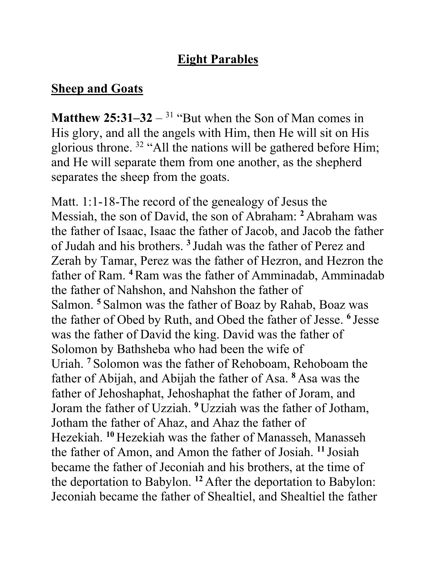## **Eight Parables**

## **Sheep and Goats**

**Matthew 25:31–32** – <sup>31</sup> "But when the Son of Man comes in His glory, and all the angels with Him, then He will sit on His glorious throne. 32 "All the nations will be gathered before Him; and He will separate them from one another, as the shepherd separates the sheep from the goats.

Matt. 1:1-18-The record of the genealogy of Jesus the Messiah, the son of David, the son of Abraham: **<sup>2</sup>** Abraham was the father of Isaac, Isaac the father of Jacob, and Jacob the father of Judah and his brothers. **<sup>3</sup>** Judah was the father of Perez and Zerah by Tamar, Perez was the father of Hezron, and Hezron the father of Ram. **<sup>4</sup>**Ram was the father of Amminadab, Amminadab the father of Nahshon, and Nahshon the father of Salmon. **<sup>5</sup>** Salmon was the father of Boaz by Rahab, Boaz was the father of Obed by Ruth, and Obed the father of Jesse. **<sup>6</sup>** Jesse was the father of David the king. David was the father of Solomon by Bathsheba who had been the wife of Uriah. **<sup>7</sup>** Solomon was the father of Rehoboam, Rehoboam the father of Abijah, and Abijah the father of Asa. **<sup>8</sup>** Asa was the father of Jehoshaphat, Jehoshaphat the father of Joram, and Joram the father of Uzziah. **<sup>9</sup>** Uzziah was the father of Jotham, Jotham the father of Ahaz, and Ahaz the father of Hezekiah. **<sup>10</sup>** Hezekiah was the father of Manasseh, Manasseh the father of Amon, and Amon the father of Josiah. **<sup>11</sup>** Josiah became the father of Jeconiah and his brothers, at the time of the deportation to Babylon. **<sup>12</sup>** After the deportation to Babylon: Jeconiah became the father of Shealtiel, and Shealtiel the father